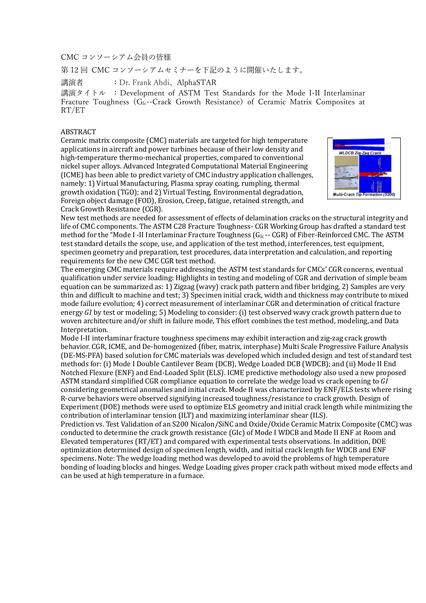CMC コンソーシアム会員の皆様

第 12 回 CMC コンソーシアムセミナーを下記のように開催いたします。

講演者 :Dr. Frank Abdi、AlphaSTAR

講演タイトル : Development of ASTM Test Standards for the Mode I-II Interlaminar Fracture Toughness  $(G_{Ic}$ -Crack Growth Resistance) of Ceramic Matrix Composites at RT/ET

## ABSTRACT

Ceramic matrix composite (CMC) materials are targeted for high temperature applications in aircraft and power turbines because of their low density and high-temperature thermo-mechanical properties, compared to conventional nickel super alloys. Advanced Integrated Computational Material Engineering (ICME) has been able to predict variety of CMC industry application challenges, namely: 1) Virtual Manufacturing, Plasma spray coating, rumpling, thermal growth oxidation (TGO); and 2) Virtual Testing, Environmental degradation, Foreign object damage (FOD), Erosion, Creep, fatigue, retained strength, and Crack Growth Resistance (CGR).



New test methods are needed for assessment of effects of delamination cracks on the structural integrity and life of CMC components. The ASTM C28 Fracture Toughness- CGR Working Group has drafted a standard test method for the "Mode I -II Interlaminar Fracture Toughness (G<sub>Ic</sub>-- CGR) of Fiber-Reinforced CMC. The ASTM test standard details the scope, use, and application of the test method, interferences, test equipment, specimen geometry and preparation, test procedures, data interpretation and calculation, and reporting requirements for the new CMC CGR test method.

The emerging CMC materials require addressing the ASTM test standards for CMCs' CGR concerns, eventual qualification under service loading: Highlights in testing and modeling of CGR and derivation of simple beam equation can be summarized as: 1) Zigzag (wavy) crack path pattern and fiber bridging, 2) Samples are very thin and difficult to machine and test; 3) Specimen initial crack, width and thickness may contribute to mixed mode failure evolution; 4) correct measurement of interlaminar CGR and determination of critical fracture energy  $G_l$  by test or modeling; 5) Modeling to consider: (i) test observed way crack growth pattern due to woven architecture and/or shift in failure mode, This effort combines the test method, modeling, and Data Interpretation.

Mode I-II interlaminar fracture toughness specimens may exhibit interaction and zig-zag crack growth behavior. CGR, ICME, and De-homogenized (fiber, matrix, interphase) Multi Scale Progressive Failure Analysis (DE-MS-PFA) based solution for CMC materials was developed which included design and test of standard test methods for: (i) Mode I Double Cantilever Beam (DCB), Wedge Loaded DCB (WDCB); and (ii) Mode II End Notched Flexure (ENF) and End-Loaded Split (ELS). ICME predictive methodology also used a new proposed ASTM standard simplified CGR compliance equation to correlate the wedge load vs crack opening to GI considering geometrical anomalies and initial crack. Mode II was characterized by ENF/ELS tests where rising R-curve behaviors were observed signifying increased toughness/resistance to crack growth. Design of Experiment (DOE) methods were used to optimize ELS geometry and initial crack length while minimizing the contribution of interlaminar tension (ILT) and maximizing interlaminar shear (ILS).

Prediction vs. Test Validation of an S200 Nicalon/SiNC and Oxide/Oxide Ceramic Matrix Composite (CMC) was conducted to determine the crack growth resistance (GIc) of Mode I WDCB and Mode II ENF at Room and Elevated temperatures (RT/ET) and compared with experimental tests observations. In addition, DOE optimization determined design of specimen length, width, and initial crack length for WDCB and ENF specimens. Note: The wedge loading method was developed to avoid the problems of high temperature bonding of loading blocks and hinges. Wedge Loading gives proper crack path without mixed mode effects and can be used at high temperature in a furnace.